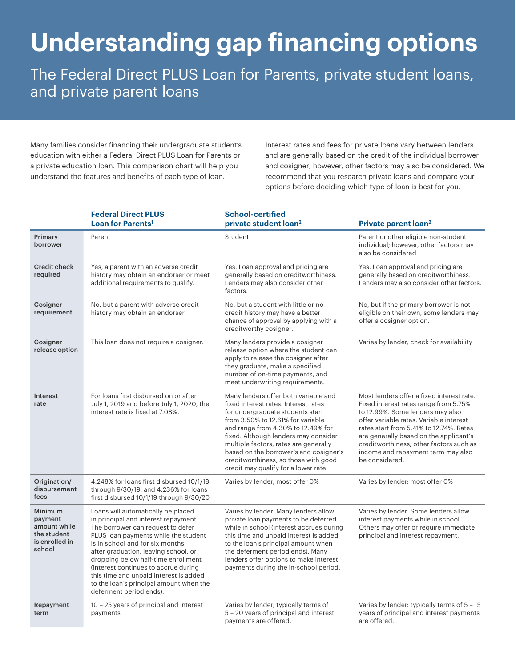## **Understanding gap financing options**

The Federal Direct PLUS Loan for Parents, private student loans, and private parent loans

Many families consider financing their undergraduate student's education with either a Federal Direct PLUS Loan for Parents or a private education loan. This comparison chart will help you understand the features and benefits of each type of loan.

Interest rates and fees for private loans vary between lenders and are generally based on the credit of the individual borrower and cosigner; however, other factors may also be considered. We recommend that you research private loans and compare your options before deciding which type of loan is best for you.

|                                                                                      | <b>Federal Direct PLUS</b><br>Loan for Parents <sup>1</sup>                                                                                                                                                                                                                                                                                                                                                                       | <b>School-certified</b><br>private student loan <sup>2</sup>                                                                                                                                                                                                                                                                                                                                           | Private parent loan <sup>2</sup>                                                                                                                                                                                                                                                                                                                          |
|--------------------------------------------------------------------------------------|-----------------------------------------------------------------------------------------------------------------------------------------------------------------------------------------------------------------------------------------------------------------------------------------------------------------------------------------------------------------------------------------------------------------------------------|--------------------------------------------------------------------------------------------------------------------------------------------------------------------------------------------------------------------------------------------------------------------------------------------------------------------------------------------------------------------------------------------------------|-----------------------------------------------------------------------------------------------------------------------------------------------------------------------------------------------------------------------------------------------------------------------------------------------------------------------------------------------------------|
| Primary<br>borrower                                                                  | Parent                                                                                                                                                                                                                                                                                                                                                                                                                            | Student                                                                                                                                                                                                                                                                                                                                                                                                | Parent or other eligible non-student<br>individual; however, other factors may<br>also be considered                                                                                                                                                                                                                                                      |
| <b>Credit check</b><br>required                                                      | Yes, a parent with an adverse credit<br>history may obtain an endorser or meet<br>additional requirements to qualify.                                                                                                                                                                                                                                                                                                             | Yes. Loan approval and pricing are<br>generally based on creditworthiness.<br>Lenders may also consider other<br>factors.                                                                                                                                                                                                                                                                              | Yes. Loan approval and pricing are<br>generally based on creditworthiness.<br>Lenders may also consider other factors.                                                                                                                                                                                                                                    |
| Cosigner<br>requirement                                                              | No, but a parent with adverse credit<br>history may obtain an endorser.                                                                                                                                                                                                                                                                                                                                                           | No, but a student with little or no<br>credit history may have a better<br>chance of approval by applying with a<br>creditworthy cosigner.                                                                                                                                                                                                                                                             | No, but if the primary borrower is not<br>eligible on their own, some lenders may<br>offer a cosigner option.                                                                                                                                                                                                                                             |
| Cosigner<br>release option                                                           | This loan does not require a cosigner.                                                                                                                                                                                                                                                                                                                                                                                            | Many lenders provide a cosigner<br>release option where the student can<br>apply to release the cosigner after<br>they graduate, make a specified<br>number of on-time payments, and<br>meet underwriting requirements.                                                                                                                                                                                | Varies by lender; check for availability                                                                                                                                                                                                                                                                                                                  |
| Interest<br>rate                                                                     | For loans first disbursed on or after<br>July 1, 2019 and before July 1, 2020, the<br>interest rate is fixed at 7.08%.                                                                                                                                                                                                                                                                                                            | Many lenders offer both variable and<br>fixed interest rates. Interest rates<br>for undergraduate students start<br>from 3.50% to 12.61% for variable<br>and range from 4.30% to 12.49% for<br>fixed. Although lenders may consider<br>multiple factors, rates are generally<br>based on the borrower's and cosigner's<br>creditworthiness, so those with good<br>credit may qualify for a lower rate. | Most lenders offer a fixed interest rate.<br>Fixed interest rates range from 5.75%<br>to 12.99%. Some lenders may also<br>offer variable rates. Variable interest<br>rates start from 5.41% to 12.74%. Rates<br>are generally based on the applicant's<br>creditworthiness; other factors such as<br>income and repayment term may also<br>be considered. |
| Origination/<br>disbursement<br>fees                                                 | 4.248% for loans first disbursed 10/1/18<br>through 9/30/19, and 4.236% for loans<br>first disbursed 10/1/19 through 9/30/20                                                                                                                                                                                                                                                                                                      | Varies by lender; most offer 0%                                                                                                                                                                                                                                                                                                                                                                        | Varies by lender; most offer 0%                                                                                                                                                                                                                                                                                                                           |
| <b>Minimum</b><br>payment<br>amount while<br>the student<br>is enrolled in<br>school | Loans will automatically be placed<br>in principal and interest repayment.<br>The borrower can request to defer<br>PLUS loan payments while the student<br>is in school and for six months<br>after graduation, leaving school, or<br>dropping below half-time enrollment<br>(interest continues to accrue during<br>this time and unpaid interest is added<br>to the loan's principal amount when the<br>deferment period ends). | Varies by lender. Many lenders allow<br>private loan payments to be deferred<br>while in school (interest accrues during<br>this time and unpaid interest is added<br>to the loan's principal amount when<br>the deferment period ends). Many<br>lenders offer options to make interest<br>payments during the in-school period.                                                                       | Varies by lender. Some lenders allow<br>interest payments while in school.<br>Others may offer or require immediate<br>principal and interest repayment.                                                                                                                                                                                                  |
| Repayment<br>term                                                                    | 10 - 25 years of principal and interest<br>payments                                                                                                                                                                                                                                                                                                                                                                               | Varies by lender; typically terms of<br>5 - 20 years of principal and interest<br>payments are offered.                                                                                                                                                                                                                                                                                                | Varies by lender; typically terms of 5 - 15<br>years of principal and interest payments<br>are offered.                                                                                                                                                                                                                                                   |